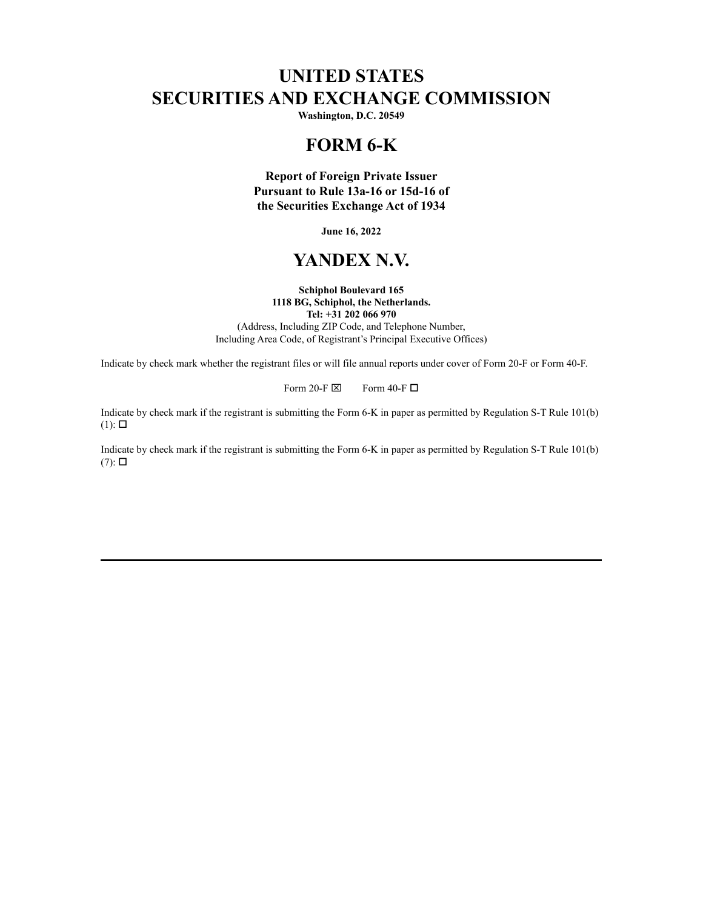# **UNITED STATES SECURITIES AND EXCHANGE COMMISSION**

**Washington, D.C. 20549**

# **FORM 6-K**

**Report of Foreign Private Issuer Pursuant to Rule 13a-16 or 15d-16 of the Securities Exchange Act of 1934**

**June 16, 2022**

# **YANDEX N.V.**

#### **Schiphol Boulevard 165 1118 BG, Schiphol, the Netherlands. Tel: +31 202 066 970**

(Address, Including ZIP Code, and Telephone Number, Including Area Code, of Registrant's Principal Executive Offices)

Indicate by check mark whether the registrant files or will file annual reports under cover of Form 20-F or Form 40-F.

Form 20-F  $\boxtimes$  Form 40-F  $\Box$ 

Indicate by check mark if the registrant is submitting the Form 6-K in paper as permitted by Regulation S-T Rule 101(b)  $(1)$ :  $\square$ 

Indicate by check mark if the registrant is submitting the Form 6-K in paper as permitted by Regulation S-T Rule 101(b)  $(7)$ :  $\square$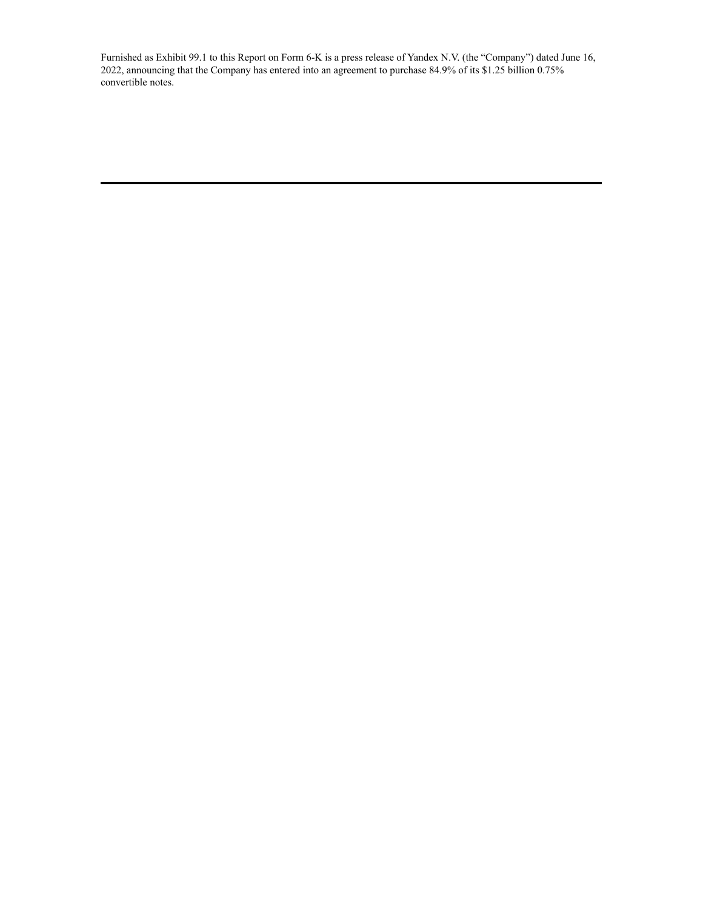Furnished as Exhibit 99.1 to this Report on Form 6-K is a press release of Yandex N.V. (the "Company") dated June 16, 2022, announcing that the Company has entered into an agreement to purchase 84.9% of its \$1.25 billion 0.75% convertible notes.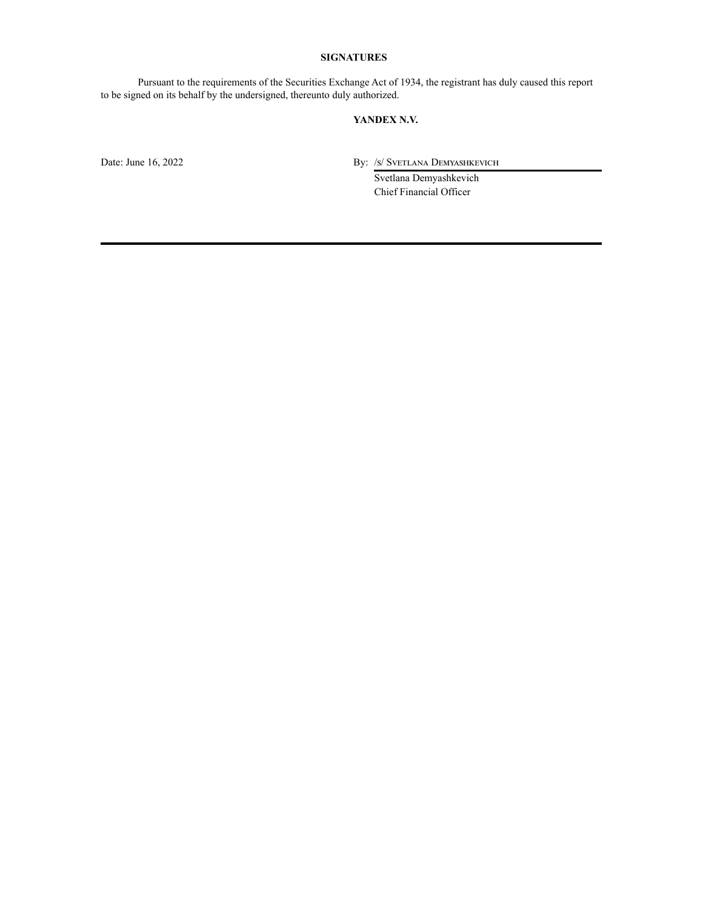### **SIGNATURES**

Pursuant to the requirements of the Securities Exchange Act of 1934, the registrant has duly caused this report to be signed on its behalf by the undersigned, thereunto duly authorized.

#### **YANDEX N.V.**

Date: June 16, 2022 By: /s/ Svetlana Demyashkevich

Svetlana Demyashkevich Chief Financial Officer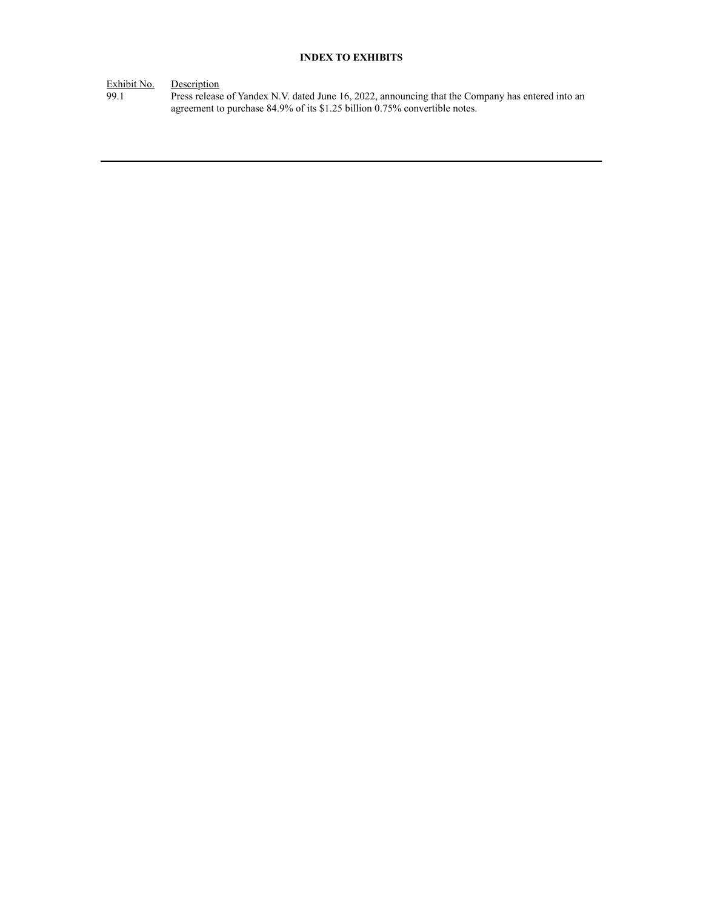## **INDEX TO EXHIBITS**

Exhibit No. Description

99.1 Press release of Yandex N.V. dated June 16, 2022, announcing that the Company has entered into an agreement to purchase 84.9% of its \$1.25 billion 0.75% convertible notes.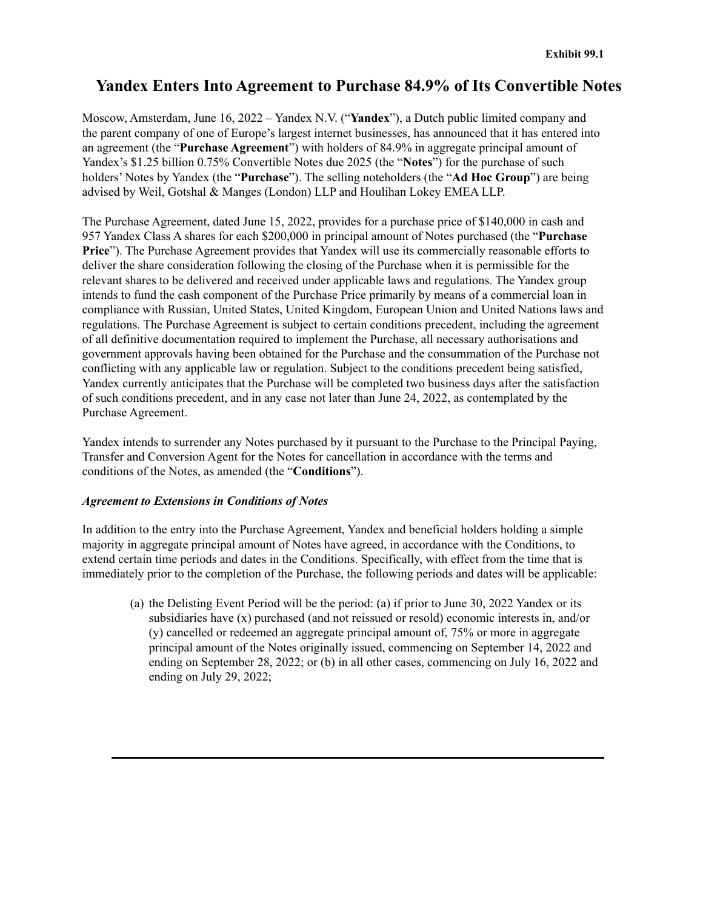# **Yandex Enters Into Agreement to Purchase 84.9% of Its Convertible Notes**

Moscow, Amsterdam, June 16, 2022 – Yandex N.V. ("**Yandex**"), a Dutch public limited company and the parent company of one of Europe's largest internet businesses, has announced that it has entered into an agreement (the "**Purchase Agreement**") with holders of 84.9% in aggregate principal amount of Yandex's \$1.25 billion 0.75% Convertible Notes due 2025 (the "**Notes**") for the purchase of such holders' Notes by Yandex (the "**Purchase**"). The selling noteholders (the "**Ad Hoc Group**") are being advised by Weil, Gotshal & Manges (London) LLP and Houlihan Lokey EMEA LLP.

The Purchase Agreement, dated June 15, 2022, provides for a purchase price of \$140,000 in cash and 957 Yandex Class A shares for each \$200,000 in principal amount of Notes purchased (the "**Purchase Price**"). The Purchase Agreement provides that Yandex will use its commercially reasonable efforts to deliver the share consideration following the closing of the Purchase when it is permissible for the relevant shares to be delivered and received under applicable laws and regulations. The Yandex group intends to fund the cash component of the Purchase Price primarily by means of a commercial loan in compliance with Russian, United States, United Kingdom, European Union and United Nations laws and regulations. The Purchase Agreement is subject to certain conditions precedent, including the agreement of all definitive documentation required to implement the Purchase, all necessary authorisations and government approvals having been obtained for the Purchase and the consummation of the Purchase not conflicting with any applicable law or regulation. Subject to the conditions precedent being satisfied, Yandex currently anticipates that the Purchase will be completed two business days after the satisfaction of such conditions precedent, and in any case not later than June 24, 2022, as contemplated by the Purchase Agreement.

Yandex intends to surrender any Notes purchased by it pursuant to the Purchase to the Principal Paying, Transfer and Conversion Agent for the Notes for cancellation in accordance with the terms and conditions of the Notes, as amended (the "**Conditions**").

### *Agreement to Extensions in Conditions of Notes*

In addition to the entry into the Purchase Agreement, Yandex and beneficial holders holding a simple majority in aggregate principal amount of Notes have agreed, in accordance with the Conditions, to extend certain time periods and dates in the Conditions. Specifically, with effect from the time that is immediately prior to the completion of the Purchase, the following periods and dates will be applicable:

(a) the Delisting Event Period will be the period: (a) if prior to June 30, 2022 Yandex or its subsidiaries have (x) purchased (and not reissued or resold) economic interests in, and/or (y) cancelled or redeemed an aggregate principal amount of, 75% or more in aggregate principal amount of the Notes originally issued, commencing on September 14, 2022 and ending on September 28, 2022; or (b) in all other cases, commencing on July 16, 2022 and ending on July 29, 2022;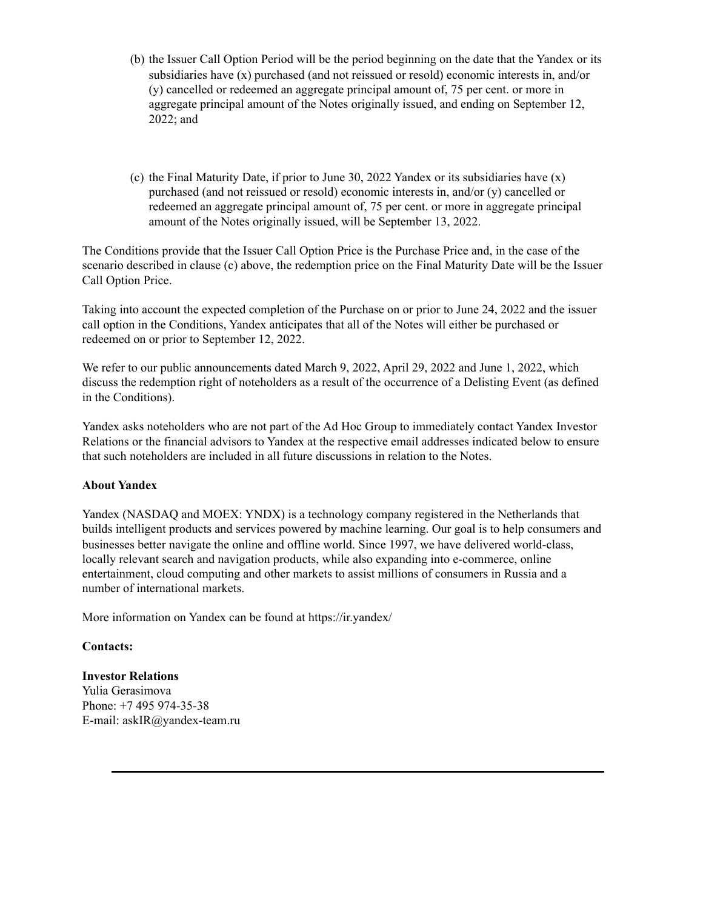- (b) the Issuer Call Option Period will be the period beginning on the date that the Yandex or its subsidiaries have (x) purchased (and not reissued or resold) economic interests in, and/or (y) cancelled or redeemed an aggregate principal amount of, 75 per cent. or more in aggregate principal amount of the Notes originally issued, and ending on September 12, 2022; and
- (c) the Final Maturity Date, if prior to June 30, 2022 Yandex or its subsidiaries have (x) purchased (and not reissued or resold) economic interests in, and/or (y) cancelled or redeemed an aggregate principal amount of, 75 per cent. or more in aggregate principal amount of the Notes originally issued, will be September 13, 2022.

The Conditions provide that the Issuer Call Option Price is the Purchase Price and, in the case of the scenario described in clause (c) above, the redemption price on the Final Maturity Date will be the Issuer Call Option Price.

Taking into account the expected completion of the Purchase on or prior to June 24, 2022 and the issuer call option in the Conditions, Yandex anticipates that all of the Notes will either be purchased or redeemed on or prior to September 12, 2022.

We refer to our public announcements dated March 9, 2022, April 29, 2022 and June 1, 2022, which discuss the redemption right of noteholders as a result of the occurrence of a Delisting Event (as defined in the Conditions).

Yandex asks noteholders who are not part of the Ad Hoc Group to immediately contact Yandex Investor Relations or the financial advisors to Yandex at the respective email addresses indicated below to ensure that such noteholders are included in all future discussions in relation to the Notes.

## **About Yandex**

Yandex (NASDAQ and MOEX: YNDX) is a technology company registered in the Netherlands that builds intelligent products and services powered by machine learning. Our goal is to help consumers and businesses better navigate the online and offline world. Since 1997, we have delivered world-class, locally relevant search and navigation products, while also expanding into e-commerce, online entertainment, cloud computing and other markets to assist millions of consumers in Russia and a number of international markets.

More information on Yandex can be found at https://ir.yandex/

## **Contacts:**

### **Investor Relations**

Yulia Gerasimova Phone: +7 495 974-35-38 E-mail: askIR@yandex-team.ru